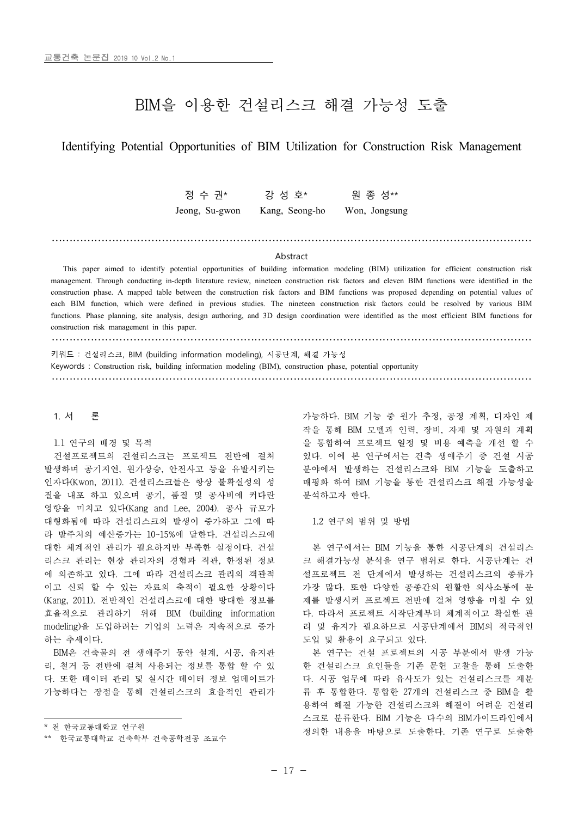# BIM을 이용한 건설리스크 해결 가능성 도출

## Identifying Potential Opportunities of BIM Utilization for Construction Risk Management

정 수 권\* 강 성 호\* 위 종 성\*\*

Jeong, Su-gwon Kang, Seong-ho Won, Jongsung

### Abstract

………………………………………………………………………………………………………………………

This paper aimed to identify potential opportunities of building information modeling (BIM) utilization for efficient construction risk management. Through conducting in-depth literature review, nineteen construction risk factors and eleven BIM functions were identified in the construction phase. A mapped table between the construction risk factors and BIM functions was proposed depending on potential values of each BIM function, which were defined in previous studies. The nineteen construction risk factors could be resolved by various BIM functions. Phase planning, site analysis, design authoring, and 3D design coordination were identified as the most efficient BIM functions for construction risk management in this paper.

………………………………………………………………………………………………………………………

키워드 : 건설리스크, BIM (building information modeling), 시공단계, 해결 가능성

Keywords : Construction risk, building information modeling (BIM), construction phase, potential opportunity

………………………………………………………………………………………………………………………

#### 1. 서 론

1.1 연구의 배경 및 목적

건설프로젝트의 건설리스크는 프로젝트 전반에 걸쳐 발생하며 공기지연, 원가상승, 안전사고 등을 유발시키는 인자다(Kwon, 2011). 건설리스크들은 항상 불확실성의 성 질을 내포 하고 있으며 공기, 품질 및 공사비에 커다란 영향을 미치고 있다(Kang and Lee, 2004). 공사 규모가 대형화됨에 따라 건설리스크의 발생이 증가하고 그에 따 라 발주처의 예산증가는 10~15%에 달한다. 건설리스크에 대한 체계적인 관리가 필요하지만 부족한 실정이다. 건설 리스크 관리는 현장 관리자의 경험과 직관, 한정된 정보 에 의존하고 있다. 그에 따라 건설리스크 관리의 객관적 이고 신뢰 할 수 있는 자료의 축적이 필요한 상황이다 (Kang, 2011). 전반적인 건설리스크에 대한 방대한 정보를 효율적으로 관리하기 위해 BIM (building information modeling)을 도입하려는 기업의 노력은 지속적으로 증가 하는 추세이다.<br>- BIM은 건축물의 전 생애주기 동안 설계, 시공, 유지관

리, 철거 등 전반에 걸쳐 사용되는 정보를 통합 할 수 있 다. 또한 데이터 관리 및 실시간 데이터 정보 업데이트가 가능하다는 장점을 통해 건설리스크의 효율적인 관리가 가능하다. BIM 기능 중 원가 추정, 공정 계획, 디자인 제 작을 통해 BIM 모델과 인력, 장비, 자재 및 자원의 계획 을 통합하여 프로젝트 일정 및 비용 예측을 개선 할 수 있다. 이에 본 연구에서는 건축 생애주기 중 건설 시공 분야에서 발생하는 건설리스크와 BIM 기능을 도출하고 매핑화 하여 BIM 기능을 통한 건설리스크 해결 가능성을 분석하고자 한다.

1.2 연구의 범위 및 방법

본 연구에서는 BIM 기능을 통한 시공단계의 건설리스 크 해결가능성 분석을 연구 범위로 한다. 시공단계는 건 설프로젝트 전 단계에서 발생하는 건설리스크의 종류가 가장 많다. 또한 다양한 공종간의 원활한 의사소통에 문 제를 발생시켜 프로젝트 전반에 걸쳐 영향을 미칠 수 있 다. 따라서 프로젝트 시작단계부터 체계적이고 확실한 관 리 및 유지가 필요하므로 시공단계에서 BIM의 적극적인 도입 및 활용이 요구되고 있다.

본 연구는 건설 프로젝트의 시공 부분에서 발생 가능 한 건설리스크 요인들을 기존 문헌 고찰을 통해 도출한 다. 시공 업무에 따라 유사도가 있는 건설리스크를 재분 류 후 통합한다. 통합한 27개의 건설리스크 중 BIM을 활 용하여 해결 가능한 건설리스크와 해결이 어려운 건설리 스크로 분류한다. BIM 기능은 다수의 BIM가이드라인에서 정의한 내용을 바탕으로 도출한다. 기존 연구로 도출한

<sup>\*</sup> 전 한국교통대학교 연구원

<sup>\*\*</sup> 한국교통대학교 건축학부 건축공학전공 조교수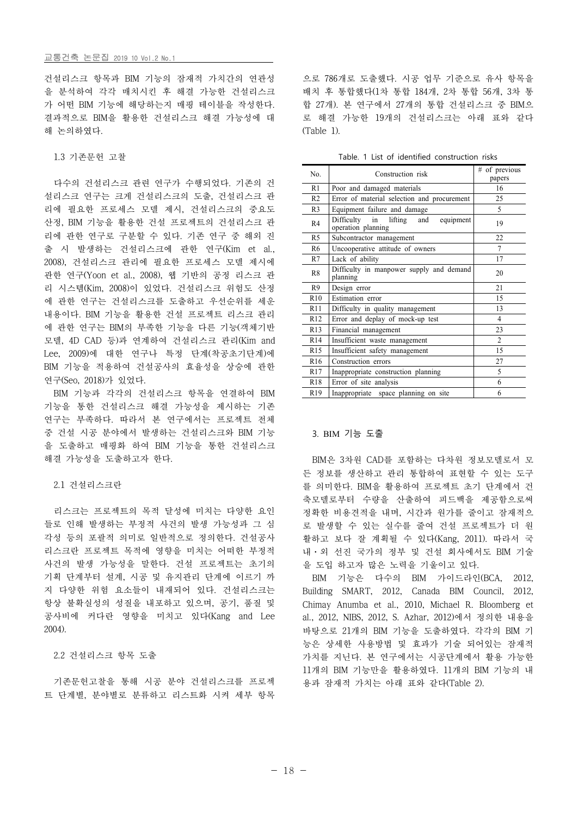건설리스크 항목과 BIM 기능의 잠재적 가치간의 연관성 을 분석하여 각각 매치시킨 후 해결 가능한 건설리스크 가 어떤 BIM 기능에 해당하는지 매핑 테이블을 작성한다.<br>결과적으로 BIM을 활용한 건설리스크 해결 가능성에 대 해 논의하였다.

1.3 기존문헌 고찰

다수의 건설리스크 관련 연구가 수행되었다. 기존의 건 설리스크 연구는 크게 건설리스크의 도출, 건설리스크 관 리에 필요한 프로세스 모델 제시, 건설리스크의 중요도 산정, BIM 기능을 활용한 건설 프로젝트의 건설리스크 관 리에 관한 연구로 구분할 수 있다. 기존 연구 중 해외 진 출 시 발생하는 건설리스크에 관한 연구(Kim et al., 2008), 건설리스크 관리에 필요한 프로세스 모델 제시에 관한 연구(Yoon et al., 2008), 웹 기반의 공정 리스크 관 리 시스템(Kim, 2008)이 있었다. 건설리스크 위험도 산정 에 관한 연구는 건설리스크를 도출하고 우선순위를 세운 내용이다. BIM 기능을 활용한 건설 프로젝트 리스크 관리 에 관한 연구는 BIM의 부족한 기능을 다른 기능(객체기반 모델, 4D CAD 등)과 연계하여 건설리스크 관리(Kim and Lee, 2009)에 대한 연구나 특정 단계(착공초기단계)에 BIM 기능을 적용하여 건설공사의 효율성을 상승에 관한 연구(Seo, 2018)가 있었다.<br>- BIM 기능과 각각의 건설리스크 항목을 연결하여 BIM

기능을 통한 건설리스크 해결 가능성을 제시하는 기존 연구는 부족하다. 따라서 본 연구에서는 프로젝트 전체 중 건설 시공 분야에서 발생하는 건설리스크와 BIM 기능 을 도출하고 매핑화 하여 BIM 기능을 통한 건설리스크 해결 가능성을 도출하고자 한다.

### 2.1 건설리스크란

리스크는 프로젝트의 목적 달성에 미치는 다양한 요인 들로 인해 발생하는 부정적 사건의 발생 가능성과 그 심 각성 등의 포괄적 의미로 일반적으로 정의한다. 건설공사 리스크란 프로젝트 목적에 영향을 미치는 어떠한 부정적 사건의 발생 가능성을 말한다. 건설 프로젝트는 초기의 기획 단계부터 설계, 시공 및 유지관리 단계에 이르기 까 지 다양한 위험 요소들이 내재되어 있다. 건설리스크는 항상 불확실성의 성질을 내포하고 있으며, 공기, 품질 및 공사비에 커다란 영향을 미치고 있다(Kang and Lee 2004).

### 2.2 건설리스크 항목 도출

기존문헌고찰을 통해 시공 분야 건설리스크를 프로젝 트 단계별, 분야별로 분류하고 리스트화 시켜 세부 항목 으로 786개로 도출했다. 시공 업무 기준으로 유사 항목을 배치 후 통합했다(1차 통합 184개, 2차 통합 56개, 3차 통 합 27개). 본 연구에서 27개의 통합 건설리스크 중 BIM으 로 해결 가능한 19개의 건설리스크는 아래 표와 같다 (Table 1).

| No.             | Construction risk                                                     | # of previous<br>papers |  |  |
|-----------------|-----------------------------------------------------------------------|-------------------------|--|--|
| R1              | Poor and damaged materials                                            | 16                      |  |  |
| R <sub>2</sub>  | Error of material selection and procurement                           | 25                      |  |  |
| R <sub>3</sub>  | Equipment failure and damage                                          | 5                       |  |  |
| R <sub>4</sub>  | Difficulty<br>lifting<br>and<br>in<br>equipment<br>operation planning | 19                      |  |  |
| R <sub>5</sub>  | Subcontractor management                                              | 22                      |  |  |
| R6              | Uncooperative attitude of owners                                      | 7                       |  |  |
| R7              | Lack of ability                                                       | 17                      |  |  |
| R <sub>8</sub>  | Difficulty in manpower supply and demand<br>planning                  | 20                      |  |  |
| R9              | Design error                                                          | 21                      |  |  |
| R10             | Estimation error                                                      | 15                      |  |  |
| R11             | Difficulty in quality management                                      | 13                      |  |  |
| R12             | Error and deplay of mock-up test                                      | 4                       |  |  |
| R13             | Financial management                                                  | 23                      |  |  |
| R14             | Insufficient waste management                                         | 2                       |  |  |
| R15             | Insufficient safety management                                        | 15                      |  |  |
| R <sub>16</sub> | Construction errors                                                   | 27                      |  |  |
| R17             | Inappropriate construction planning                                   | 5                       |  |  |
| R18             | Error of site analysis                                                | 6                       |  |  |
| R <sub>19</sub> | Inappropriate space planning on site                                  | 6                       |  |  |

# 3. BIM 기능 도출

BIM은 3차원 CAD를 포함하는 다차원 정보모델로서 모 든 정보를 생산하고 관리 통합하여 표현할 수 있는 도구 를 의미한다. BIM을 활용하여 프로젝트 초기 단계에서 건 축모델로부터 수량을 산출하여 피드백을 제공함으로써 정확한 비용견적을 내며, 시간과 원가를 줄이고 잠재적으 로 발생할 수 있는 실수를 줄여 건설 프로젝트가 더 원 활하고 보다 잘 계획될 수 있다(Kang, 2011). 따라서 국 내·외 선진 국가의 정부 및 건설 회사에서도 BIM 기술 을 도입 하고자 많은 노력을 기울이고 있다.

BIM 기능은 다수의 BIM 가이드라인(BCA, 2012, Building SMART, 2012, Canada BIM Council, 2012, Chimay Anumba et al., 2010, Michael R. Bloomberg et al., 2012, NIBS, 2012, S. Azhar, 2012)에서 정의한 내용을 바탕으로 21개의 BIM 기능을 도출하였다. 각각의 BIM 기 능은 상세한 사용방법 및 효과가 기술 되어있는 잠재적 가치를 지닌다. 본 연구에서는 시공단계에서 활용 가능한 11개의 BIM 기능만을 활용하였다. 11개의 BIM 기능의 내 용과 잠재적 가치는 아래 표와 같다(Table 2).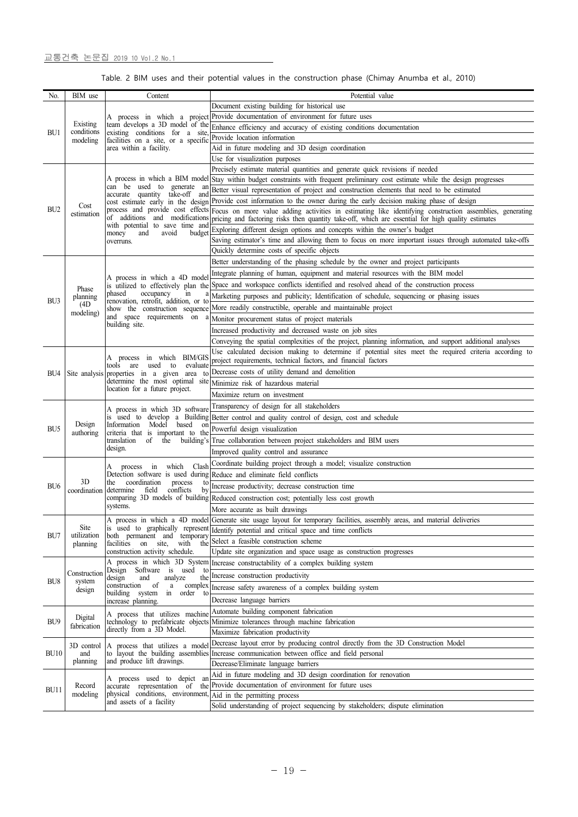Table. 2 BIM uses and their potential values in the construction phase (Chimay Anumba et al., 2010)

| Document existing building for historical use<br>Provide documentation of environment for future uses<br>A process in which a project<br>Existing<br>team develops a 3D model of the<br>Enhance efficiency and accuracy of existing conditions documentation<br>conditions<br>BU1<br>existing conditions for a site<br>Provide location information<br>facilities on a site, or a specific<br>modeling<br>area within a facility.<br>Aid in future modeling and 3D design coordination<br>Use for visualization purposes<br>Precisely estimate material quantities and generate quick revisions if needed<br>A process in which a BIM model<br>Stay within budget constraints with frequent preliminary cost estimate while the design progresses<br>can be used to generate an<br>Better visual representation of project and construction elements that need to be estimated<br>accurate quantity take-off and<br>cost estimate early in the design Provide cost information to the owner during the early decision making phase of design<br>Cost<br>BU <sub>2</sub><br>process and provide cost effects<br>Focus on more value adding activities in estimating like identifying construction assemblies, generating<br>estimation<br>of additions and modifications<br>pricing and factoring risks then quantity take-off, which are essential for high quality estimates<br>with potential to save time and<br>Exploring different design options and concepts within the owner's budget<br>money<br>and<br>avoid<br>budget<br>Saving estimator's time and allowing them to focus on more important issues through automated take-offs<br>overruns.<br>Quickly determine costs of specific objects<br>Better understanding of the phasing schedule by the owner and project participants<br>Integrate planning of human, equipment and material resources with the BIM model<br>A process in which a 4D mode<br>is utilized to effectively plan the Space and workspace conflicts identified and resolved ahead of the construction process<br>Phase<br>occupancy<br>phased<br>in<br>Marketing purposes and publicity; Identification of schedule, sequencing or phasing issues<br>planning<br>BU <sub>3</sub><br>renovation, retrofit, addition, or to<br>(4D)<br>show the construction sequence More readily constructible, operable and maintainable project<br>modeling)<br>and space requirements on<br>Monitor procurement status of project materials<br>building site.<br>Increased productivity and decreased waste on job sites<br>Conveying the spatial complexities of the project, planning information, and support additional analyses<br>Use calculated decision making to determine if potential sites meet the required criteria according to<br>A process in which BIM/GIS<br>project requirements, technical factors, and financial factors<br>tools are used to evaluate<br>Decrease costs of utility demand and demolition<br>Site analysis properties in a given area to<br>BU4<br>determine the most optimal site<br>Minimize risk of hazardous material<br>location for a future project.<br>Maximize return on investment<br>Transparency of design for all stakeholders<br>A process in which 3D software<br>is used to develop a Building Better control and quality control of design, cost and schedule<br>Design<br>Information Model based<br>on<br>BU <sub>5</sub><br>Powerful design visualization<br>criteria that is important to the<br>authoring<br>translation of the<br>building's True collaboration between project stakeholders and BIM users<br>design.<br>Improved quality control and assurance<br>Coordinate building project through a model; visualize construction<br>Clash<br>process in which<br>A<br>Detection software is used during Reduce and eliminate field conflicts<br>3D<br>coordination<br>the<br>process<br>to<br>BU <sub>6</sub><br>Increase productivity; decrease construction time<br>conflicts<br>field<br>by<br>coordination<br>determine<br>comparing 3D models of building Reduced construction cost; potentially less cost growth<br>systems.<br>More accurate as built drawings<br>A process in which a 4D model Generate site usage layout for temporary facilities, assembly areas, and material deliveries<br>Site<br>is used to graphically represent<br>Identify potential and critical space and time conflicts<br>utilization<br>BU7<br>both permanent and temporary<br>Select a feasible construction scheme<br>facilities<br>on site,<br>with<br>the<br>planning<br>Update site organization and space usage as construction progresses<br>construction activity schedule.<br>A process in which 3D System<br>Increase constructability of a complex building system<br>Design Software is used<br>to<br>Construction<br>Increase construction productivity<br>the<br>design<br>analyze<br>and<br>system<br>BU <sub>8</sub><br>construction of<br>complex   Increase safety awareness of a complex building system<br>$\rm{a}$<br>design<br>building system<br>order to<br>in<br>Decrease language barriers<br>increase planning.<br>Automate building component fabrication<br>A process that utilizes machine<br>Digital<br>BU <sub>9</sub><br>technology to prefabricate objects Minimize tolerances through machine fabrication<br>fabrication<br>directly from a 3D Model.<br>Maximize fabrication productivity<br>Decrease layout error by producing control directly from the 3D Construction Model<br>A process that utilizes a model<br>3D control<br>to layout the building assemblies Increase communication between office and field personal<br>and<br>and produce lift drawings.<br>planning<br>Decrease/Eliminate language barriers<br>Aid in future modeling and 3D design coordination for renovation<br>A process used to depict an<br>Provide documentation of environment for future uses<br>Record<br>accurate representation of the<br>physical conditions, environment,<br>modeling<br>Aid in the permitting process<br>and assets of a facility<br>Solid understanding of project sequencing by stakeholders; dispute elimination | No.              | BIM use | Content | Potential value |  |  |  |  |  |
|---------------------------------------------------------------------------------------------------------------------------------------------------------------------------------------------------------------------------------------------------------------------------------------------------------------------------------------------------------------------------------------------------------------------------------------------------------------------------------------------------------------------------------------------------------------------------------------------------------------------------------------------------------------------------------------------------------------------------------------------------------------------------------------------------------------------------------------------------------------------------------------------------------------------------------------------------------------------------------------------------------------------------------------------------------------------------------------------------------------------------------------------------------------------------------------------------------------------------------------------------------------------------------------------------------------------------------------------------------------------------------------------------------------------------------------------------------------------------------------------------------------------------------------------------------------------------------------------------------------------------------------------------------------------------------------------------------------------------------------------------------------------------------------------------------------------------------------------------------------------------------------------------------------------------------------------------------------------------------------------------------------------------------------------------------------------------------------------------------------------------------------------------------------------------------------------------------------------------------------------------------------------------------------------------------------------------------------------------------------------------------------------------------------------------------------------------------------------------------------------------------------------------------------------------------------------------------------------------------------------------------------------------------------------------------------------------------------------------------------------------------------------------------------------------------------------------------------------------------------------------------------------------------------------------------------------------------------------------------------------------------------------------------------------------------------------------------------------------------------------------------------------------------------------------------------------------------------------------------------------------------------------------------------------------------------------------------------------------------------------------------------------------------------------------------------------------------------------------------------------------------------------------------------------------------------------------------------------------------------------------------------------------------------------------------------------------------------------------------------------------------------------------------------------------------------------------------------------------------------------------------------------------------------------------------------------------------------------------------------------------------------------------------------------------------------------------------------------------------------------------------------------------------------------------------------------------------------------------------------------------------------------------------------------------------------------------------------------------------------------------------------------------------------------------------------------------------------------------------------------------------------------------------------------------------------------------------------------------------------------------------------------------------------------------------------------------------------------------------------------------------------------------------------------------------------------------------------------------------------------------------------------------------------------------------------------------------------------------------------------------------------------------------------------------------------------------------------------------------------------------------------------------------------------------------------------------------------------------------------------------------------------------------------------------------------------------------------------------------------------------------------------------------------------------------------------------------------------------------------------------------------------------------------------------------------------------------------------------------------------------------------------------------------------------------------------------------------------------------------------------------------------------------------------------------------------------------------------------------------------------------------------------------------------------------------------------------------------------------------------------------------------------------------------------------------------------------------------------------------------------------------------------|------------------|---------|---------|-----------------|--|--|--|--|--|
|                                                                                                                                                                                                                                                                                                                                                                                                                                                                                                                                                                                                                                                                                                                                                                                                                                                                                                                                                                                                                                                                                                                                                                                                                                                                                                                                                                                                                                                                                                                                                                                                                                                                                                                                                                                                                                                                                                                                                                                                                                                                                                                                                                                                                                                                                                                                                                                                                                                                                                                                                                                                                                                                                                                                                                                                                                                                                                                                                                                                                                                                                                                                                                                                                                                                                                                                                                                                                                                                                                                                                                                                                                                                                                                                                                                                                                                                                                                                                                                                                                                                                                                                                                                                                                                                                                                                                                                                                                                                                                                                                                                                                                                                                                                                                                                                                                                                                                                                                                                                                                                                                                                                                                                                                                                                                                                                                                                                                                                                                                                                                                                                                                                                                                                                                                                                                                                                                                                                                                                                                                                                                                                                                   |                  |         |         |                 |  |  |  |  |  |
|                                                                                                                                                                                                                                                                                                                                                                                                                                                                                                                                                                                                                                                                                                                                                                                                                                                                                                                                                                                                                                                                                                                                                                                                                                                                                                                                                                                                                                                                                                                                                                                                                                                                                                                                                                                                                                                                                                                                                                                                                                                                                                                                                                                                                                                                                                                                                                                                                                                                                                                                                                                                                                                                                                                                                                                                                                                                                                                                                                                                                                                                                                                                                                                                                                                                                                                                                                                                                                                                                                                                                                                                                                                                                                                                                                                                                                                                                                                                                                                                                                                                                                                                                                                                                                                                                                                                                                                                                                                                                                                                                                                                                                                                                                                                                                                                                                                                                                                                                                                                                                                                                                                                                                                                                                                                                                                                                                                                                                                                                                                                                                                                                                                                                                                                                                                                                                                                                                                                                                                                                                                                                                                                                   |                  |         |         |                 |  |  |  |  |  |
|                                                                                                                                                                                                                                                                                                                                                                                                                                                                                                                                                                                                                                                                                                                                                                                                                                                                                                                                                                                                                                                                                                                                                                                                                                                                                                                                                                                                                                                                                                                                                                                                                                                                                                                                                                                                                                                                                                                                                                                                                                                                                                                                                                                                                                                                                                                                                                                                                                                                                                                                                                                                                                                                                                                                                                                                                                                                                                                                                                                                                                                                                                                                                                                                                                                                                                                                                                                                                                                                                                                                                                                                                                                                                                                                                                                                                                                                                                                                                                                                                                                                                                                                                                                                                                                                                                                                                                                                                                                                                                                                                                                                                                                                                                                                                                                                                                                                                                                                                                                                                                                                                                                                                                                                                                                                                                                                                                                                                                                                                                                                                                                                                                                                                                                                                                                                                                                                                                                                                                                                                                                                                                                                                   |                  |         |         |                 |  |  |  |  |  |
|                                                                                                                                                                                                                                                                                                                                                                                                                                                                                                                                                                                                                                                                                                                                                                                                                                                                                                                                                                                                                                                                                                                                                                                                                                                                                                                                                                                                                                                                                                                                                                                                                                                                                                                                                                                                                                                                                                                                                                                                                                                                                                                                                                                                                                                                                                                                                                                                                                                                                                                                                                                                                                                                                                                                                                                                                                                                                                                                                                                                                                                                                                                                                                                                                                                                                                                                                                                                                                                                                                                                                                                                                                                                                                                                                                                                                                                                                                                                                                                                                                                                                                                                                                                                                                                                                                                                                                                                                                                                                                                                                                                                                                                                                                                                                                                                                                                                                                                                                                                                                                                                                                                                                                                                                                                                                                                                                                                                                                                                                                                                                                                                                                                                                                                                                                                                                                                                                                                                                                                                                                                                                                                                                   |                  |         |         |                 |  |  |  |  |  |
|                                                                                                                                                                                                                                                                                                                                                                                                                                                                                                                                                                                                                                                                                                                                                                                                                                                                                                                                                                                                                                                                                                                                                                                                                                                                                                                                                                                                                                                                                                                                                                                                                                                                                                                                                                                                                                                                                                                                                                                                                                                                                                                                                                                                                                                                                                                                                                                                                                                                                                                                                                                                                                                                                                                                                                                                                                                                                                                                                                                                                                                                                                                                                                                                                                                                                                                                                                                                                                                                                                                                                                                                                                                                                                                                                                                                                                                                                                                                                                                                                                                                                                                                                                                                                                                                                                                                                                                                                                                                                                                                                                                                                                                                                                                                                                                                                                                                                                                                                                                                                                                                                                                                                                                                                                                                                                                                                                                                                                                                                                                                                                                                                                                                                                                                                                                                                                                                                                                                                                                                                                                                                                                                                   |                  |         |         |                 |  |  |  |  |  |
|                                                                                                                                                                                                                                                                                                                                                                                                                                                                                                                                                                                                                                                                                                                                                                                                                                                                                                                                                                                                                                                                                                                                                                                                                                                                                                                                                                                                                                                                                                                                                                                                                                                                                                                                                                                                                                                                                                                                                                                                                                                                                                                                                                                                                                                                                                                                                                                                                                                                                                                                                                                                                                                                                                                                                                                                                                                                                                                                                                                                                                                                                                                                                                                                                                                                                                                                                                                                                                                                                                                                                                                                                                                                                                                                                                                                                                                                                                                                                                                                                                                                                                                                                                                                                                                                                                                                                                                                                                                                                                                                                                                                                                                                                                                                                                                                                                                                                                                                                                                                                                                                                                                                                                                                                                                                                                                                                                                                                                                                                                                                                                                                                                                                                                                                                                                                                                                                                                                                                                                                                                                                                                                                                   |                  |         |         |                 |  |  |  |  |  |
|                                                                                                                                                                                                                                                                                                                                                                                                                                                                                                                                                                                                                                                                                                                                                                                                                                                                                                                                                                                                                                                                                                                                                                                                                                                                                                                                                                                                                                                                                                                                                                                                                                                                                                                                                                                                                                                                                                                                                                                                                                                                                                                                                                                                                                                                                                                                                                                                                                                                                                                                                                                                                                                                                                                                                                                                                                                                                                                                                                                                                                                                                                                                                                                                                                                                                                                                                                                                                                                                                                                                                                                                                                                                                                                                                                                                                                                                                                                                                                                                                                                                                                                                                                                                                                                                                                                                                                                                                                                                                                                                                                                                                                                                                                                                                                                                                                                                                                                                                                                                                                                                                                                                                                                                                                                                                                                                                                                                                                                                                                                                                                                                                                                                                                                                                                                                                                                                                                                                                                                                                                                                                                                                                   |                  |         |         |                 |  |  |  |  |  |
|                                                                                                                                                                                                                                                                                                                                                                                                                                                                                                                                                                                                                                                                                                                                                                                                                                                                                                                                                                                                                                                                                                                                                                                                                                                                                                                                                                                                                                                                                                                                                                                                                                                                                                                                                                                                                                                                                                                                                                                                                                                                                                                                                                                                                                                                                                                                                                                                                                                                                                                                                                                                                                                                                                                                                                                                                                                                                                                                                                                                                                                                                                                                                                                                                                                                                                                                                                                                                                                                                                                                                                                                                                                                                                                                                                                                                                                                                                                                                                                                                                                                                                                                                                                                                                                                                                                                                                                                                                                                                                                                                                                                                                                                                                                                                                                                                                                                                                                                                                                                                                                                                                                                                                                                                                                                                                                                                                                                                                                                                                                                                                                                                                                                                                                                                                                                                                                                                                                                                                                                                                                                                                                                                   |                  |         |         |                 |  |  |  |  |  |
|                                                                                                                                                                                                                                                                                                                                                                                                                                                                                                                                                                                                                                                                                                                                                                                                                                                                                                                                                                                                                                                                                                                                                                                                                                                                                                                                                                                                                                                                                                                                                                                                                                                                                                                                                                                                                                                                                                                                                                                                                                                                                                                                                                                                                                                                                                                                                                                                                                                                                                                                                                                                                                                                                                                                                                                                                                                                                                                                                                                                                                                                                                                                                                                                                                                                                                                                                                                                                                                                                                                                                                                                                                                                                                                                                                                                                                                                                                                                                                                                                                                                                                                                                                                                                                                                                                                                                                                                                                                                                                                                                                                                                                                                                                                                                                                                                                                                                                                                                                                                                                                                                                                                                                                                                                                                                                                                                                                                                                                                                                                                                                                                                                                                                                                                                                                                                                                                                                                                                                                                                                                                                                                                                   |                  |         |         |                 |  |  |  |  |  |
|                                                                                                                                                                                                                                                                                                                                                                                                                                                                                                                                                                                                                                                                                                                                                                                                                                                                                                                                                                                                                                                                                                                                                                                                                                                                                                                                                                                                                                                                                                                                                                                                                                                                                                                                                                                                                                                                                                                                                                                                                                                                                                                                                                                                                                                                                                                                                                                                                                                                                                                                                                                                                                                                                                                                                                                                                                                                                                                                                                                                                                                                                                                                                                                                                                                                                                                                                                                                                                                                                                                                                                                                                                                                                                                                                                                                                                                                                                                                                                                                                                                                                                                                                                                                                                                                                                                                                                                                                                                                                                                                                                                                                                                                                                                                                                                                                                                                                                                                                                                                                                                                                                                                                                                                                                                                                                                                                                                                                                                                                                                                                                                                                                                                                                                                                                                                                                                                                                                                                                                                                                                                                                                                                   |                  |         |         |                 |  |  |  |  |  |
|                                                                                                                                                                                                                                                                                                                                                                                                                                                                                                                                                                                                                                                                                                                                                                                                                                                                                                                                                                                                                                                                                                                                                                                                                                                                                                                                                                                                                                                                                                                                                                                                                                                                                                                                                                                                                                                                                                                                                                                                                                                                                                                                                                                                                                                                                                                                                                                                                                                                                                                                                                                                                                                                                                                                                                                                                                                                                                                                                                                                                                                                                                                                                                                                                                                                                                                                                                                                                                                                                                                                                                                                                                                                                                                                                                                                                                                                                                                                                                                                                                                                                                                                                                                                                                                                                                                                                                                                                                                                                                                                                                                                                                                                                                                                                                                                                                                                                                                                                                                                                                                                                                                                                                                                                                                                                                                                                                                                                                                                                                                                                                                                                                                                                                                                                                                                                                                                                                                                                                                                                                                                                                                                                   |                  |         |         |                 |  |  |  |  |  |
|                                                                                                                                                                                                                                                                                                                                                                                                                                                                                                                                                                                                                                                                                                                                                                                                                                                                                                                                                                                                                                                                                                                                                                                                                                                                                                                                                                                                                                                                                                                                                                                                                                                                                                                                                                                                                                                                                                                                                                                                                                                                                                                                                                                                                                                                                                                                                                                                                                                                                                                                                                                                                                                                                                                                                                                                                                                                                                                                                                                                                                                                                                                                                                                                                                                                                                                                                                                                                                                                                                                                                                                                                                                                                                                                                                                                                                                                                                                                                                                                                                                                                                                                                                                                                                                                                                                                                                                                                                                                                                                                                                                                                                                                                                                                                                                                                                                                                                                                                                                                                                                                                                                                                                                                                                                                                                                                                                                                                                                                                                                                                                                                                                                                                                                                                                                                                                                                                                                                                                                                                                                                                                                                                   |                  |         |         |                 |  |  |  |  |  |
|                                                                                                                                                                                                                                                                                                                                                                                                                                                                                                                                                                                                                                                                                                                                                                                                                                                                                                                                                                                                                                                                                                                                                                                                                                                                                                                                                                                                                                                                                                                                                                                                                                                                                                                                                                                                                                                                                                                                                                                                                                                                                                                                                                                                                                                                                                                                                                                                                                                                                                                                                                                                                                                                                                                                                                                                                                                                                                                                                                                                                                                                                                                                                                                                                                                                                                                                                                                                                                                                                                                                                                                                                                                                                                                                                                                                                                                                                                                                                                                                                                                                                                                                                                                                                                                                                                                                                                                                                                                                                                                                                                                                                                                                                                                                                                                                                                                                                                                                                                                                                                                                                                                                                                                                                                                                                                                                                                                                                                                                                                                                                                                                                                                                                                                                                                                                                                                                                                                                                                                                                                                                                                                                                   |                  |         |         |                 |  |  |  |  |  |
|                                                                                                                                                                                                                                                                                                                                                                                                                                                                                                                                                                                                                                                                                                                                                                                                                                                                                                                                                                                                                                                                                                                                                                                                                                                                                                                                                                                                                                                                                                                                                                                                                                                                                                                                                                                                                                                                                                                                                                                                                                                                                                                                                                                                                                                                                                                                                                                                                                                                                                                                                                                                                                                                                                                                                                                                                                                                                                                                                                                                                                                                                                                                                                                                                                                                                                                                                                                                                                                                                                                                                                                                                                                                                                                                                                                                                                                                                                                                                                                                                                                                                                                                                                                                                                                                                                                                                                                                                                                                                                                                                                                                                                                                                                                                                                                                                                                                                                                                                                                                                                                                                                                                                                                                                                                                                                                                                                                                                                                                                                                                                                                                                                                                                                                                                                                                                                                                                                                                                                                                                                                                                                                                                   |                  |         |         |                 |  |  |  |  |  |
|                                                                                                                                                                                                                                                                                                                                                                                                                                                                                                                                                                                                                                                                                                                                                                                                                                                                                                                                                                                                                                                                                                                                                                                                                                                                                                                                                                                                                                                                                                                                                                                                                                                                                                                                                                                                                                                                                                                                                                                                                                                                                                                                                                                                                                                                                                                                                                                                                                                                                                                                                                                                                                                                                                                                                                                                                                                                                                                                                                                                                                                                                                                                                                                                                                                                                                                                                                                                                                                                                                                                                                                                                                                                                                                                                                                                                                                                                                                                                                                                                                                                                                                                                                                                                                                                                                                                                                                                                                                                                                                                                                                                                                                                                                                                                                                                                                                                                                                                                                                                                                                                                                                                                                                                                                                                                                                                                                                                                                                                                                                                                                                                                                                                                                                                                                                                                                                                                                                                                                                                                                                                                                                                                   |                  |         |         |                 |  |  |  |  |  |
|                                                                                                                                                                                                                                                                                                                                                                                                                                                                                                                                                                                                                                                                                                                                                                                                                                                                                                                                                                                                                                                                                                                                                                                                                                                                                                                                                                                                                                                                                                                                                                                                                                                                                                                                                                                                                                                                                                                                                                                                                                                                                                                                                                                                                                                                                                                                                                                                                                                                                                                                                                                                                                                                                                                                                                                                                                                                                                                                                                                                                                                                                                                                                                                                                                                                                                                                                                                                                                                                                                                                                                                                                                                                                                                                                                                                                                                                                                                                                                                                                                                                                                                                                                                                                                                                                                                                                                                                                                                                                                                                                                                                                                                                                                                                                                                                                                                                                                                                                                                                                                                                                                                                                                                                                                                                                                                                                                                                                                                                                                                                                                                                                                                                                                                                                                                                                                                                                                                                                                                                                                                                                                                                                   |                  |         |         |                 |  |  |  |  |  |
|                                                                                                                                                                                                                                                                                                                                                                                                                                                                                                                                                                                                                                                                                                                                                                                                                                                                                                                                                                                                                                                                                                                                                                                                                                                                                                                                                                                                                                                                                                                                                                                                                                                                                                                                                                                                                                                                                                                                                                                                                                                                                                                                                                                                                                                                                                                                                                                                                                                                                                                                                                                                                                                                                                                                                                                                                                                                                                                                                                                                                                                                                                                                                                                                                                                                                                                                                                                                                                                                                                                                                                                                                                                                                                                                                                                                                                                                                                                                                                                                                                                                                                                                                                                                                                                                                                                                                                                                                                                                                                                                                                                                                                                                                                                                                                                                                                                                                                                                                                                                                                                                                                                                                                                                                                                                                                                                                                                                                                                                                                                                                                                                                                                                                                                                                                                                                                                                                                                                                                                                                                                                                                                                                   |                  |         |         |                 |  |  |  |  |  |
|                                                                                                                                                                                                                                                                                                                                                                                                                                                                                                                                                                                                                                                                                                                                                                                                                                                                                                                                                                                                                                                                                                                                                                                                                                                                                                                                                                                                                                                                                                                                                                                                                                                                                                                                                                                                                                                                                                                                                                                                                                                                                                                                                                                                                                                                                                                                                                                                                                                                                                                                                                                                                                                                                                                                                                                                                                                                                                                                                                                                                                                                                                                                                                                                                                                                                                                                                                                                                                                                                                                                                                                                                                                                                                                                                                                                                                                                                                                                                                                                                                                                                                                                                                                                                                                                                                                                                                                                                                                                                                                                                                                                                                                                                                                                                                                                                                                                                                                                                                                                                                                                                                                                                                                                                                                                                                                                                                                                                                                                                                                                                                                                                                                                                                                                                                                                                                                                                                                                                                                                                                                                                                                                                   |                  |         |         |                 |  |  |  |  |  |
|                                                                                                                                                                                                                                                                                                                                                                                                                                                                                                                                                                                                                                                                                                                                                                                                                                                                                                                                                                                                                                                                                                                                                                                                                                                                                                                                                                                                                                                                                                                                                                                                                                                                                                                                                                                                                                                                                                                                                                                                                                                                                                                                                                                                                                                                                                                                                                                                                                                                                                                                                                                                                                                                                                                                                                                                                                                                                                                                                                                                                                                                                                                                                                                                                                                                                                                                                                                                                                                                                                                                                                                                                                                                                                                                                                                                                                                                                                                                                                                                                                                                                                                                                                                                                                                                                                                                                                                                                                                                                                                                                                                                                                                                                                                                                                                                                                                                                                                                                                                                                                                                                                                                                                                                                                                                                                                                                                                                                                                                                                                                                                                                                                                                                                                                                                                                                                                                                                                                                                                                                                                                                                                                                   |                  |         |         |                 |  |  |  |  |  |
|                                                                                                                                                                                                                                                                                                                                                                                                                                                                                                                                                                                                                                                                                                                                                                                                                                                                                                                                                                                                                                                                                                                                                                                                                                                                                                                                                                                                                                                                                                                                                                                                                                                                                                                                                                                                                                                                                                                                                                                                                                                                                                                                                                                                                                                                                                                                                                                                                                                                                                                                                                                                                                                                                                                                                                                                                                                                                                                                                                                                                                                                                                                                                                                                                                                                                                                                                                                                                                                                                                                                                                                                                                                                                                                                                                                                                                                                                                                                                                                                                                                                                                                                                                                                                                                                                                                                                                                                                                                                                                                                                                                                                                                                                                                                                                                                                                                                                                                                                                                                                                                                                                                                                                                                                                                                                                                                                                                                                                                                                                                                                                                                                                                                                                                                                                                                                                                                                                                                                                                                                                                                                                                                                   |                  |         |         |                 |  |  |  |  |  |
|                                                                                                                                                                                                                                                                                                                                                                                                                                                                                                                                                                                                                                                                                                                                                                                                                                                                                                                                                                                                                                                                                                                                                                                                                                                                                                                                                                                                                                                                                                                                                                                                                                                                                                                                                                                                                                                                                                                                                                                                                                                                                                                                                                                                                                                                                                                                                                                                                                                                                                                                                                                                                                                                                                                                                                                                                                                                                                                                                                                                                                                                                                                                                                                                                                                                                                                                                                                                                                                                                                                                                                                                                                                                                                                                                                                                                                                                                                                                                                                                                                                                                                                                                                                                                                                                                                                                                                                                                                                                                                                                                                                                                                                                                                                                                                                                                                                                                                                                                                                                                                                                                                                                                                                                                                                                                                                                                                                                                                                                                                                                                                                                                                                                                                                                                                                                                                                                                                                                                                                                                                                                                                                                                   |                  |         |         |                 |  |  |  |  |  |
|                                                                                                                                                                                                                                                                                                                                                                                                                                                                                                                                                                                                                                                                                                                                                                                                                                                                                                                                                                                                                                                                                                                                                                                                                                                                                                                                                                                                                                                                                                                                                                                                                                                                                                                                                                                                                                                                                                                                                                                                                                                                                                                                                                                                                                                                                                                                                                                                                                                                                                                                                                                                                                                                                                                                                                                                                                                                                                                                                                                                                                                                                                                                                                                                                                                                                                                                                                                                                                                                                                                                                                                                                                                                                                                                                                                                                                                                                                                                                                                                                                                                                                                                                                                                                                                                                                                                                                                                                                                                                                                                                                                                                                                                                                                                                                                                                                                                                                                                                                                                                                                                                                                                                                                                                                                                                                                                                                                                                                                                                                                                                                                                                                                                                                                                                                                                                                                                                                                                                                                                                                                                                                                                                   |                  |         |         |                 |  |  |  |  |  |
|                                                                                                                                                                                                                                                                                                                                                                                                                                                                                                                                                                                                                                                                                                                                                                                                                                                                                                                                                                                                                                                                                                                                                                                                                                                                                                                                                                                                                                                                                                                                                                                                                                                                                                                                                                                                                                                                                                                                                                                                                                                                                                                                                                                                                                                                                                                                                                                                                                                                                                                                                                                                                                                                                                                                                                                                                                                                                                                                                                                                                                                                                                                                                                                                                                                                                                                                                                                                                                                                                                                                                                                                                                                                                                                                                                                                                                                                                                                                                                                                                                                                                                                                                                                                                                                                                                                                                                                                                                                                                                                                                                                                                                                                                                                                                                                                                                                                                                                                                                                                                                                                                                                                                                                                                                                                                                                                                                                                                                                                                                                                                                                                                                                                                                                                                                                                                                                                                                                                                                                                                                                                                                                                                   |                  |         |         |                 |  |  |  |  |  |
|                                                                                                                                                                                                                                                                                                                                                                                                                                                                                                                                                                                                                                                                                                                                                                                                                                                                                                                                                                                                                                                                                                                                                                                                                                                                                                                                                                                                                                                                                                                                                                                                                                                                                                                                                                                                                                                                                                                                                                                                                                                                                                                                                                                                                                                                                                                                                                                                                                                                                                                                                                                                                                                                                                                                                                                                                                                                                                                                                                                                                                                                                                                                                                                                                                                                                                                                                                                                                                                                                                                                                                                                                                                                                                                                                                                                                                                                                                                                                                                                                                                                                                                                                                                                                                                                                                                                                                                                                                                                                                                                                                                                                                                                                                                                                                                                                                                                                                                                                                                                                                                                                                                                                                                                                                                                                                                                                                                                                                                                                                                                                                                                                                                                                                                                                                                                                                                                                                                                                                                                                                                                                                                                                   |                  |         |         |                 |  |  |  |  |  |
|                                                                                                                                                                                                                                                                                                                                                                                                                                                                                                                                                                                                                                                                                                                                                                                                                                                                                                                                                                                                                                                                                                                                                                                                                                                                                                                                                                                                                                                                                                                                                                                                                                                                                                                                                                                                                                                                                                                                                                                                                                                                                                                                                                                                                                                                                                                                                                                                                                                                                                                                                                                                                                                                                                                                                                                                                                                                                                                                                                                                                                                                                                                                                                                                                                                                                                                                                                                                                                                                                                                                                                                                                                                                                                                                                                                                                                                                                                                                                                                                                                                                                                                                                                                                                                                                                                                                                                                                                                                                                                                                                                                                                                                                                                                                                                                                                                                                                                                                                                                                                                                                                                                                                                                                                                                                                                                                                                                                                                                                                                                                                                                                                                                                                                                                                                                                                                                                                                                                                                                                                                                                                                                                                   |                  |         |         |                 |  |  |  |  |  |
|                                                                                                                                                                                                                                                                                                                                                                                                                                                                                                                                                                                                                                                                                                                                                                                                                                                                                                                                                                                                                                                                                                                                                                                                                                                                                                                                                                                                                                                                                                                                                                                                                                                                                                                                                                                                                                                                                                                                                                                                                                                                                                                                                                                                                                                                                                                                                                                                                                                                                                                                                                                                                                                                                                                                                                                                                                                                                                                                                                                                                                                                                                                                                                                                                                                                                                                                                                                                                                                                                                                                                                                                                                                                                                                                                                                                                                                                                                                                                                                                                                                                                                                                                                                                                                                                                                                                                                                                                                                                                                                                                                                                                                                                                                                                                                                                                                                                                                                                                                                                                                                                                                                                                                                                                                                                                                                                                                                                                                                                                                                                                                                                                                                                                                                                                                                                                                                                                                                                                                                                                                                                                                                                                   |                  |         |         |                 |  |  |  |  |  |
|                                                                                                                                                                                                                                                                                                                                                                                                                                                                                                                                                                                                                                                                                                                                                                                                                                                                                                                                                                                                                                                                                                                                                                                                                                                                                                                                                                                                                                                                                                                                                                                                                                                                                                                                                                                                                                                                                                                                                                                                                                                                                                                                                                                                                                                                                                                                                                                                                                                                                                                                                                                                                                                                                                                                                                                                                                                                                                                                                                                                                                                                                                                                                                                                                                                                                                                                                                                                                                                                                                                                                                                                                                                                                                                                                                                                                                                                                                                                                                                                                                                                                                                                                                                                                                                                                                                                                                                                                                                                                                                                                                                                                                                                                                                                                                                                                                                                                                                                                                                                                                                                                                                                                                                                                                                                                                                                                                                                                                                                                                                                                                                                                                                                                                                                                                                                                                                                                                                                                                                                                                                                                                                                                   |                  |         |         |                 |  |  |  |  |  |
|                                                                                                                                                                                                                                                                                                                                                                                                                                                                                                                                                                                                                                                                                                                                                                                                                                                                                                                                                                                                                                                                                                                                                                                                                                                                                                                                                                                                                                                                                                                                                                                                                                                                                                                                                                                                                                                                                                                                                                                                                                                                                                                                                                                                                                                                                                                                                                                                                                                                                                                                                                                                                                                                                                                                                                                                                                                                                                                                                                                                                                                                                                                                                                                                                                                                                                                                                                                                                                                                                                                                                                                                                                                                                                                                                                                                                                                                                                                                                                                                                                                                                                                                                                                                                                                                                                                                                                                                                                                                                                                                                                                                                                                                                                                                                                                                                                                                                                                                                                                                                                                                                                                                                                                                                                                                                                                                                                                                                                                                                                                                                                                                                                                                                                                                                                                                                                                                                                                                                                                                                                                                                                                                                   |                  |         |         |                 |  |  |  |  |  |
|                                                                                                                                                                                                                                                                                                                                                                                                                                                                                                                                                                                                                                                                                                                                                                                                                                                                                                                                                                                                                                                                                                                                                                                                                                                                                                                                                                                                                                                                                                                                                                                                                                                                                                                                                                                                                                                                                                                                                                                                                                                                                                                                                                                                                                                                                                                                                                                                                                                                                                                                                                                                                                                                                                                                                                                                                                                                                                                                                                                                                                                                                                                                                                                                                                                                                                                                                                                                                                                                                                                                                                                                                                                                                                                                                                                                                                                                                                                                                                                                                                                                                                                                                                                                                                                                                                                                                                                                                                                                                                                                                                                                                                                                                                                                                                                                                                                                                                                                                                                                                                                                                                                                                                                                                                                                                                                                                                                                                                                                                                                                                                                                                                                                                                                                                                                                                                                                                                                                                                                                                                                                                                                                                   |                  |         |         |                 |  |  |  |  |  |
|                                                                                                                                                                                                                                                                                                                                                                                                                                                                                                                                                                                                                                                                                                                                                                                                                                                                                                                                                                                                                                                                                                                                                                                                                                                                                                                                                                                                                                                                                                                                                                                                                                                                                                                                                                                                                                                                                                                                                                                                                                                                                                                                                                                                                                                                                                                                                                                                                                                                                                                                                                                                                                                                                                                                                                                                                                                                                                                                                                                                                                                                                                                                                                                                                                                                                                                                                                                                                                                                                                                                                                                                                                                                                                                                                                                                                                                                                                                                                                                                                                                                                                                                                                                                                                                                                                                                                                                                                                                                                                                                                                                                                                                                                                                                                                                                                                                                                                                                                                                                                                                                                                                                                                                                                                                                                                                                                                                                                                                                                                                                                                                                                                                                                                                                                                                                                                                                                                                                                                                                                                                                                                                                                   |                  |         |         |                 |  |  |  |  |  |
|                                                                                                                                                                                                                                                                                                                                                                                                                                                                                                                                                                                                                                                                                                                                                                                                                                                                                                                                                                                                                                                                                                                                                                                                                                                                                                                                                                                                                                                                                                                                                                                                                                                                                                                                                                                                                                                                                                                                                                                                                                                                                                                                                                                                                                                                                                                                                                                                                                                                                                                                                                                                                                                                                                                                                                                                                                                                                                                                                                                                                                                                                                                                                                                                                                                                                                                                                                                                                                                                                                                                                                                                                                                                                                                                                                                                                                                                                                                                                                                                                                                                                                                                                                                                                                                                                                                                                                                                                                                                                                                                                                                                                                                                                                                                                                                                                                                                                                                                                                                                                                                                                                                                                                                                                                                                                                                                                                                                                                                                                                                                                                                                                                                                                                                                                                                                                                                                                                                                                                                                                                                                                                                                                   |                  |         |         |                 |  |  |  |  |  |
|                                                                                                                                                                                                                                                                                                                                                                                                                                                                                                                                                                                                                                                                                                                                                                                                                                                                                                                                                                                                                                                                                                                                                                                                                                                                                                                                                                                                                                                                                                                                                                                                                                                                                                                                                                                                                                                                                                                                                                                                                                                                                                                                                                                                                                                                                                                                                                                                                                                                                                                                                                                                                                                                                                                                                                                                                                                                                                                                                                                                                                                                                                                                                                                                                                                                                                                                                                                                                                                                                                                                                                                                                                                                                                                                                                                                                                                                                                                                                                                                                                                                                                                                                                                                                                                                                                                                                                                                                                                                                                                                                                                                                                                                                                                                                                                                                                                                                                                                                                                                                                                                                                                                                                                                                                                                                                                                                                                                                                                                                                                                                                                                                                                                                                                                                                                                                                                                                                                                                                                                                                                                                                                                                   |                  |         |         |                 |  |  |  |  |  |
|                                                                                                                                                                                                                                                                                                                                                                                                                                                                                                                                                                                                                                                                                                                                                                                                                                                                                                                                                                                                                                                                                                                                                                                                                                                                                                                                                                                                                                                                                                                                                                                                                                                                                                                                                                                                                                                                                                                                                                                                                                                                                                                                                                                                                                                                                                                                                                                                                                                                                                                                                                                                                                                                                                                                                                                                                                                                                                                                                                                                                                                                                                                                                                                                                                                                                                                                                                                                                                                                                                                                                                                                                                                                                                                                                                                                                                                                                                                                                                                                                                                                                                                                                                                                                                                                                                                                                                                                                                                                                                                                                                                                                                                                                                                                                                                                                                                                                                                                                                                                                                                                                                                                                                                                                                                                                                                                                                                                                                                                                                                                                                                                                                                                                                                                                                                                                                                                                                                                                                                                                                                                                                                                                   |                  |         |         |                 |  |  |  |  |  |
|                                                                                                                                                                                                                                                                                                                                                                                                                                                                                                                                                                                                                                                                                                                                                                                                                                                                                                                                                                                                                                                                                                                                                                                                                                                                                                                                                                                                                                                                                                                                                                                                                                                                                                                                                                                                                                                                                                                                                                                                                                                                                                                                                                                                                                                                                                                                                                                                                                                                                                                                                                                                                                                                                                                                                                                                                                                                                                                                                                                                                                                                                                                                                                                                                                                                                                                                                                                                                                                                                                                                                                                                                                                                                                                                                                                                                                                                                                                                                                                                                                                                                                                                                                                                                                                                                                                                                                                                                                                                                                                                                                                                                                                                                                                                                                                                                                                                                                                                                                                                                                                                                                                                                                                                                                                                                                                                                                                                                                                                                                                                                                                                                                                                                                                                                                                                                                                                                                                                                                                                                                                                                                                                                   |                  |         |         |                 |  |  |  |  |  |
|                                                                                                                                                                                                                                                                                                                                                                                                                                                                                                                                                                                                                                                                                                                                                                                                                                                                                                                                                                                                                                                                                                                                                                                                                                                                                                                                                                                                                                                                                                                                                                                                                                                                                                                                                                                                                                                                                                                                                                                                                                                                                                                                                                                                                                                                                                                                                                                                                                                                                                                                                                                                                                                                                                                                                                                                                                                                                                                                                                                                                                                                                                                                                                                                                                                                                                                                                                                                                                                                                                                                                                                                                                                                                                                                                                                                                                                                                                                                                                                                                                                                                                                                                                                                                                                                                                                                                                                                                                                                                                                                                                                                                                                                                                                                                                                                                                                                                                                                                                                                                                                                                                                                                                                                                                                                                                                                                                                                                                                                                                                                                                                                                                                                                                                                                                                                                                                                                                                                                                                                                                                                                                                                                   |                  |         |         |                 |  |  |  |  |  |
|                                                                                                                                                                                                                                                                                                                                                                                                                                                                                                                                                                                                                                                                                                                                                                                                                                                                                                                                                                                                                                                                                                                                                                                                                                                                                                                                                                                                                                                                                                                                                                                                                                                                                                                                                                                                                                                                                                                                                                                                                                                                                                                                                                                                                                                                                                                                                                                                                                                                                                                                                                                                                                                                                                                                                                                                                                                                                                                                                                                                                                                                                                                                                                                                                                                                                                                                                                                                                                                                                                                                                                                                                                                                                                                                                                                                                                                                                                                                                                                                                                                                                                                                                                                                                                                                                                                                                                                                                                                                                                                                                                                                                                                                                                                                                                                                                                                                                                                                                                                                                                                                                                                                                                                                                                                                                                                                                                                                                                                                                                                                                                                                                                                                                                                                                                                                                                                                                                                                                                                                                                                                                                                                                   |                  |         |         |                 |  |  |  |  |  |
|                                                                                                                                                                                                                                                                                                                                                                                                                                                                                                                                                                                                                                                                                                                                                                                                                                                                                                                                                                                                                                                                                                                                                                                                                                                                                                                                                                                                                                                                                                                                                                                                                                                                                                                                                                                                                                                                                                                                                                                                                                                                                                                                                                                                                                                                                                                                                                                                                                                                                                                                                                                                                                                                                                                                                                                                                                                                                                                                                                                                                                                                                                                                                                                                                                                                                                                                                                                                                                                                                                                                                                                                                                                                                                                                                                                                                                                                                                                                                                                                                                                                                                                                                                                                                                                                                                                                                                                                                                                                                                                                                                                                                                                                                                                                                                                                                                                                                                                                                                                                                                                                                                                                                                                                                                                                                                                                                                                                                                                                                                                                                                                                                                                                                                                                                                                                                                                                                                                                                                                                                                                                                                                                                   |                  |         |         |                 |  |  |  |  |  |
|                                                                                                                                                                                                                                                                                                                                                                                                                                                                                                                                                                                                                                                                                                                                                                                                                                                                                                                                                                                                                                                                                                                                                                                                                                                                                                                                                                                                                                                                                                                                                                                                                                                                                                                                                                                                                                                                                                                                                                                                                                                                                                                                                                                                                                                                                                                                                                                                                                                                                                                                                                                                                                                                                                                                                                                                                                                                                                                                                                                                                                                                                                                                                                                                                                                                                                                                                                                                                                                                                                                                                                                                                                                                                                                                                                                                                                                                                                                                                                                                                                                                                                                                                                                                                                                                                                                                                                                                                                                                                                                                                                                                                                                                                                                                                                                                                                                                                                                                                                                                                                                                                                                                                                                                                                                                                                                                                                                                                                                                                                                                                                                                                                                                                                                                                                                                                                                                                                                                                                                                                                                                                                                                                   |                  |         |         |                 |  |  |  |  |  |
|                                                                                                                                                                                                                                                                                                                                                                                                                                                                                                                                                                                                                                                                                                                                                                                                                                                                                                                                                                                                                                                                                                                                                                                                                                                                                                                                                                                                                                                                                                                                                                                                                                                                                                                                                                                                                                                                                                                                                                                                                                                                                                                                                                                                                                                                                                                                                                                                                                                                                                                                                                                                                                                                                                                                                                                                                                                                                                                                                                                                                                                                                                                                                                                                                                                                                                                                                                                                                                                                                                                                                                                                                                                                                                                                                                                                                                                                                                                                                                                                                                                                                                                                                                                                                                                                                                                                                                                                                                                                                                                                                                                                                                                                                                                                                                                                                                                                                                                                                                                                                                                                                                                                                                                                                                                                                                                                                                                                                                                                                                                                                                                                                                                                                                                                                                                                                                                                                                                                                                                                                                                                                                                                                   |                  |         |         |                 |  |  |  |  |  |
|                                                                                                                                                                                                                                                                                                                                                                                                                                                                                                                                                                                                                                                                                                                                                                                                                                                                                                                                                                                                                                                                                                                                                                                                                                                                                                                                                                                                                                                                                                                                                                                                                                                                                                                                                                                                                                                                                                                                                                                                                                                                                                                                                                                                                                                                                                                                                                                                                                                                                                                                                                                                                                                                                                                                                                                                                                                                                                                                                                                                                                                                                                                                                                                                                                                                                                                                                                                                                                                                                                                                                                                                                                                                                                                                                                                                                                                                                                                                                                                                                                                                                                                                                                                                                                                                                                                                                                                                                                                                                                                                                                                                                                                                                                                                                                                                                                                                                                                                                                                                                                                                                                                                                                                                                                                                                                                                                                                                                                                                                                                                                                                                                                                                                                                                                                                                                                                                                                                                                                                                                                                                                                                                                   |                  |         |         |                 |  |  |  |  |  |
|                                                                                                                                                                                                                                                                                                                                                                                                                                                                                                                                                                                                                                                                                                                                                                                                                                                                                                                                                                                                                                                                                                                                                                                                                                                                                                                                                                                                                                                                                                                                                                                                                                                                                                                                                                                                                                                                                                                                                                                                                                                                                                                                                                                                                                                                                                                                                                                                                                                                                                                                                                                                                                                                                                                                                                                                                                                                                                                                                                                                                                                                                                                                                                                                                                                                                                                                                                                                                                                                                                                                                                                                                                                                                                                                                                                                                                                                                                                                                                                                                                                                                                                                                                                                                                                                                                                                                                                                                                                                                                                                                                                                                                                                                                                                                                                                                                                                                                                                                                                                                                                                                                                                                                                                                                                                                                                                                                                                                                                                                                                                                                                                                                                                                                                                                                                                                                                                                                                                                                                                                                                                                                                                                   |                  |         |         |                 |  |  |  |  |  |
|                                                                                                                                                                                                                                                                                                                                                                                                                                                                                                                                                                                                                                                                                                                                                                                                                                                                                                                                                                                                                                                                                                                                                                                                                                                                                                                                                                                                                                                                                                                                                                                                                                                                                                                                                                                                                                                                                                                                                                                                                                                                                                                                                                                                                                                                                                                                                                                                                                                                                                                                                                                                                                                                                                                                                                                                                                                                                                                                                                                                                                                                                                                                                                                                                                                                                                                                                                                                                                                                                                                                                                                                                                                                                                                                                                                                                                                                                                                                                                                                                                                                                                                                                                                                                                                                                                                                                                                                                                                                                                                                                                                                                                                                                                                                                                                                                                                                                                                                                                                                                                                                                                                                                                                                                                                                                                                                                                                                                                                                                                                                                                                                                                                                                                                                                                                                                                                                                                                                                                                                                                                                                                                                                   |                  |         |         |                 |  |  |  |  |  |
|                                                                                                                                                                                                                                                                                                                                                                                                                                                                                                                                                                                                                                                                                                                                                                                                                                                                                                                                                                                                                                                                                                                                                                                                                                                                                                                                                                                                                                                                                                                                                                                                                                                                                                                                                                                                                                                                                                                                                                                                                                                                                                                                                                                                                                                                                                                                                                                                                                                                                                                                                                                                                                                                                                                                                                                                                                                                                                                                                                                                                                                                                                                                                                                                                                                                                                                                                                                                                                                                                                                                                                                                                                                                                                                                                                                                                                                                                                                                                                                                                                                                                                                                                                                                                                                                                                                                                                                                                                                                                                                                                                                                                                                                                                                                                                                                                                                                                                                                                                                                                                                                                                                                                                                                                                                                                                                                                                                                                                                                                                                                                                                                                                                                                                                                                                                                                                                                                                                                                                                                                                                                                                                                                   |                  |         |         |                 |  |  |  |  |  |
|                                                                                                                                                                                                                                                                                                                                                                                                                                                                                                                                                                                                                                                                                                                                                                                                                                                                                                                                                                                                                                                                                                                                                                                                                                                                                                                                                                                                                                                                                                                                                                                                                                                                                                                                                                                                                                                                                                                                                                                                                                                                                                                                                                                                                                                                                                                                                                                                                                                                                                                                                                                                                                                                                                                                                                                                                                                                                                                                                                                                                                                                                                                                                                                                                                                                                                                                                                                                                                                                                                                                                                                                                                                                                                                                                                                                                                                                                                                                                                                                                                                                                                                                                                                                                                                                                                                                                                                                                                                                                                                                                                                                                                                                                                                                                                                                                                                                                                                                                                                                                                                                                                                                                                                                                                                                                                                                                                                                                                                                                                                                                                                                                                                                                                                                                                                                                                                                                                                                                                                                                                                                                                                                                   |                  |         |         |                 |  |  |  |  |  |
|                                                                                                                                                                                                                                                                                                                                                                                                                                                                                                                                                                                                                                                                                                                                                                                                                                                                                                                                                                                                                                                                                                                                                                                                                                                                                                                                                                                                                                                                                                                                                                                                                                                                                                                                                                                                                                                                                                                                                                                                                                                                                                                                                                                                                                                                                                                                                                                                                                                                                                                                                                                                                                                                                                                                                                                                                                                                                                                                                                                                                                                                                                                                                                                                                                                                                                                                                                                                                                                                                                                                                                                                                                                                                                                                                                                                                                                                                                                                                                                                                                                                                                                                                                                                                                                                                                                                                                                                                                                                                                                                                                                                                                                                                                                                                                                                                                                                                                                                                                                                                                                                                                                                                                                                                                                                                                                                                                                                                                                                                                                                                                                                                                                                                                                                                                                                                                                                                                                                                                                                                                                                                                                                                   |                  |         |         |                 |  |  |  |  |  |
|                                                                                                                                                                                                                                                                                                                                                                                                                                                                                                                                                                                                                                                                                                                                                                                                                                                                                                                                                                                                                                                                                                                                                                                                                                                                                                                                                                                                                                                                                                                                                                                                                                                                                                                                                                                                                                                                                                                                                                                                                                                                                                                                                                                                                                                                                                                                                                                                                                                                                                                                                                                                                                                                                                                                                                                                                                                                                                                                                                                                                                                                                                                                                                                                                                                                                                                                                                                                                                                                                                                                                                                                                                                                                                                                                                                                                                                                                                                                                                                                                                                                                                                                                                                                                                                                                                                                                                                                                                                                                                                                                                                                                                                                                                                                                                                                                                                                                                                                                                                                                                                                                                                                                                                                                                                                                                                                                                                                                                                                                                                                                                                                                                                                                                                                                                                                                                                                                                                                                                                                                                                                                                                                                   |                  |         |         |                 |  |  |  |  |  |
|                                                                                                                                                                                                                                                                                                                                                                                                                                                                                                                                                                                                                                                                                                                                                                                                                                                                                                                                                                                                                                                                                                                                                                                                                                                                                                                                                                                                                                                                                                                                                                                                                                                                                                                                                                                                                                                                                                                                                                                                                                                                                                                                                                                                                                                                                                                                                                                                                                                                                                                                                                                                                                                                                                                                                                                                                                                                                                                                                                                                                                                                                                                                                                                                                                                                                                                                                                                                                                                                                                                                                                                                                                                                                                                                                                                                                                                                                                                                                                                                                                                                                                                                                                                                                                                                                                                                                                                                                                                                                                                                                                                                                                                                                                                                                                                                                                                                                                                                                                                                                                                                                                                                                                                                                                                                                                                                                                                                                                                                                                                                                                                                                                                                                                                                                                                                                                                                                                                                                                                                                                                                                                                                                   |                  |         |         |                 |  |  |  |  |  |
|                                                                                                                                                                                                                                                                                                                                                                                                                                                                                                                                                                                                                                                                                                                                                                                                                                                                                                                                                                                                                                                                                                                                                                                                                                                                                                                                                                                                                                                                                                                                                                                                                                                                                                                                                                                                                                                                                                                                                                                                                                                                                                                                                                                                                                                                                                                                                                                                                                                                                                                                                                                                                                                                                                                                                                                                                                                                                                                                                                                                                                                                                                                                                                                                                                                                                                                                                                                                                                                                                                                                                                                                                                                                                                                                                                                                                                                                                                                                                                                                                                                                                                                                                                                                                                                                                                                                                                                                                                                                                                                                                                                                                                                                                                                                                                                                                                                                                                                                                                                                                                                                                                                                                                                                                                                                                                                                                                                                                                                                                                                                                                                                                                                                                                                                                                                                                                                                                                                                                                                                                                                                                                                                                   |                  |         |         |                 |  |  |  |  |  |
|                                                                                                                                                                                                                                                                                                                                                                                                                                                                                                                                                                                                                                                                                                                                                                                                                                                                                                                                                                                                                                                                                                                                                                                                                                                                                                                                                                                                                                                                                                                                                                                                                                                                                                                                                                                                                                                                                                                                                                                                                                                                                                                                                                                                                                                                                                                                                                                                                                                                                                                                                                                                                                                                                                                                                                                                                                                                                                                                                                                                                                                                                                                                                                                                                                                                                                                                                                                                                                                                                                                                                                                                                                                                                                                                                                                                                                                                                                                                                                                                                                                                                                                                                                                                                                                                                                                                                                                                                                                                                                                                                                                                                                                                                                                                                                                                                                                                                                                                                                                                                                                                                                                                                                                                                                                                                                                                                                                                                                                                                                                                                                                                                                                                                                                                                                                                                                                                                                                                                                                                                                                                                                                                                   |                  |         |         |                 |  |  |  |  |  |
|                                                                                                                                                                                                                                                                                                                                                                                                                                                                                                                                                                                                                                                                                                                                                                                                                                                                                                                                                                                                                                                                                                                                                                                                                                                                                                                                                                                                                                                                                                                                                                                                                                                                                                                                                                                                                                                                                                                                                                                                                                                                                                                                                                                                                                                                                                                                                                                                                                                                                                                                                                                                                                                                                                                                                                                                                                                                                                                                                                                                                                                                                                                                                                                                                                                                                                                                                                                                                                                                                                                                                                                                                                                                                                                                                                                                                                                                                                                                                                                                                                                                                                                                                                                                                                                                                                                                                                                                                                                                                                                                                                                                                                                                                                                                                                                                                                                                                                                                                                                                                                                                                                                                                                                                                                                                                                                                                                                                                                                                                                                                                                                                                                                                                                                                                                                                                                                                                                                                                                                                                                                                                                                                                   |                  |         |         |                 |  |  |  |  |  |
|                                                                                                                                                                                                                                                                                                                                                                                                                                                                                                                                                                                                                                                                                                                                                                                                                                                                                                                                                                                                                                                                                                                                                                                                                                                                                                                                                                                                                                                                                                                                                                                                                                                                                                                                                                                                                                                                                                                                                                                                                                                                                                                                                                                                                                                                                                                                                                                                                                                                                                                                                                                                                                                                                                                                                                                                                                                                                                                                                                                                                                                                                                                                                                                                                                                                                                                                                                                                                                                                                                                                                                                                                                                                                                                                                                                                                                                                                                                                                                                                                                                                                                                                                                                                                                                                                                                                                                                                                                                                                                                                                                                                                                                                                                                                                                                                                                                                                                                                                                                                                                                                                                                                                                                                                                                                                                                                                                                                                                                                                                                                                                                                                                                                                                                                                                                                                                                                                                                                                                                                                                                                                                                                                   |                  |         |         |                 |  |  |  |  |  |
|                                                                                                                                                                                                                                                                                                                                                                                                                                                                                                                                                                                                                                                                                                                                                                                                                                                                                                                                                                                                                                                                                                                                                                                                                                                                                                                                                                                                                                                                                                                                                                                                                                                                                                                                                                                                                                                                                                                                                                                                                                                                                                                                                                                                                                                                                                                                                                                                                                                                                                                                                                                                                                                                                                                                                                                                                                                                                                                                                                                                                                                                                                                                                                                                                                                                                                                                                                                                                                                                                                                                                                                                                                                                                                                                                                                                                                                                                                                                                                                                                                                                                                                                                                                                                                                                                                                                                                                                                                                                                                                                                                                                                                                                                                                                                                                                                                                                                                                                                                                                                                                                                                                                                                                                                                                                                                                                                                                                                                                                                                                                                                                                                                                                                                                                                                                                                                                                                                                                                                                                                                                                                                                                                   | BU <sub>10</sub> |         |         |                 |  |  |  |  |  |
|                                                                                                                                                                                                                                                                                                                                                                                                                                                                                                                                                                                                                                                                                                                                                                                                                                                                                                                                                                                                                                                                                                                                                                                                                                                                                                                                                                                                                                                                                                                                                                                                                                                                                                                                                                                                                                                                                                                                                                                                                                                                                                                                                                                                                                                                                                                                                                                                                                                                                                                                                                                                                                                                                                                                                                                                                                                                                                                                                                                                                                                                                                                                                                                                                                                                                                                                                                                                                                                                                                                                                                                                                                                                                                                                                                                                                                                                                                                                                                                                                                                                                                                                                                                                                                                                                                                                                                                                                                                                                                                                                                                                                                                                                                                                                                                                                                                                                                                                                                                                                                                                                                                                                                                                                                                                                                                                                                                                                                                                                                                                                                                                                                                                                                                                                                                                                                                                                                                                                                                                                                                                                                                                                   |                  |         |         |                 |  |  |  |  |  |
|                                                                                                                                                                                                                                                                                                                                                                                                                                                                                                                                                                                                                                                                                                                                                                                                                                                                                                                                                                                                                                                                                                                                                                                                                                                                                                                                                                                                                                                                                                                                                                                                                                                                                                                                                                                                                                                                                                                                                                                                                                                                                                                                                                                                                                                                                                                                                                                                                                                                                                                                                                                                                                                                                                                                                                                                                                                                                                                                                                                                                                                                                                                                                                                                                                                                                                                                                                                                                                                                                                                                                                                                                                                                                                                                                                                                                                                                                                                                                                                                                                                                                                                                                                                                                                                                                                                                                                                                                                                                                                                                                                                                                                                                                                                                                                                                                                                                                                                                                                                                                                                                                                                                                                                                                                                                                                                                                                                                                                                                                                                                                                                                                                                                                                                                                                                                                                                                                                                                                                                                                                                                                                                                                   |                  |         |         |                 |  |  |  |  |  |
|                                                                                                                                                                                                                                                                                                                                                                                                                                                                                                                                                                                                                                                                                                                                                                                                                                                                                                                                                                                                                                                                                                                                                                                                                                                                                                                                                                                                                                                                                                                                                                                                                                                                                                                                                                                                                                                                                                                                                                                                                                                                                                                                                                                                                                                                                                                                                                                                                                                                                                                                                                                                                                                                                                                                                                                                                                                                                                                                                                                                                                                                                                                                                                                                                                                                                                                                                                                                                                                                                                                                                                                                                                                                                                                                                                                                                                                                                                                                                                                                                                                                                                                                                                                                                                                                                                                                                                                                                                                                                                                                                                                                                                                                                                                                                                                                                                                                                                                                                                                                                                                                                                                                                                                                                                                                                                                                                                                                                                                                                                                                                                                                                                                                                                                                                                                                                                                                                                                                                                                                                                                                                                                                                   | <b>BU11</b>      |         |         |                 |  |  |  |  |  |
|                                                                                                                                                                                                                                                                                                                                                                                                                                                                                                                                                                                                                                                                                                                                                                                                                                                                                                                                                                                                                                                                                                                                                                                                                                                                                                                                                                                                                                                                                                                                                                                                                                                                                                                                                                                                                                                                                                                                                                                                                                                                                                                                                                                                                                                                                                                                                                                                                                                                                                                                                                                                                                                                                                                                                                                                                                                                                                                                                                                                                                                                                                                                                                                                                                                                                                                                                                                                                                                                                                                                                                                                                                                                                                                                                                                                                                                                                                                                                                                                                                                                                                                                                                                                                                                                                                                                                                                                                                                                                                                                                                                                                                                                                                                                                                                                                                                                                                                                                                                                                                                                                                                                                                                                                                                                                                                                                                                                                                                                                                                                                                                                                                                                                                                                                                                                                                                                                                                                                                                                                                                                                                                                                   |                  |         |         |                 |  |  |  |  |  |
|                                                                                                                                                                                                                                                                                                                                                                                                                                                                                                                                                                                                                                                                                                                                                                                                                                                                                                                                                                                                                                                                                                                                                                                                                                                                                                                                                                                                                                                                                                                                                                                                                                                                                                                                                                                                                                                                                                                                                                                                                                                                                                                                                                                                                                                                                                                                                                                                                                                                                                                                                                                                                                                                                                                                                                                                                                                                                                                                                                                                                                                                                                                                                                                                                                                                                                                                                                                                                                                                                                                                                                                                                                                                                                                                                                                                                                                                                                                                                                                                                                                                                                                                                                                                                                                                                                                                                                                                                                                                                                                                                                                                                                                                                                                                                                                                                                                                                                                                                                                                                                                                                                                                                                                                                                                                                                                                                                                                                                                                                                                                                                                                                                                                                                                                                                                                                                                                                                                                                                                                                                                                                                                                                   |                  |         |         |                 |  |  |  |  |  |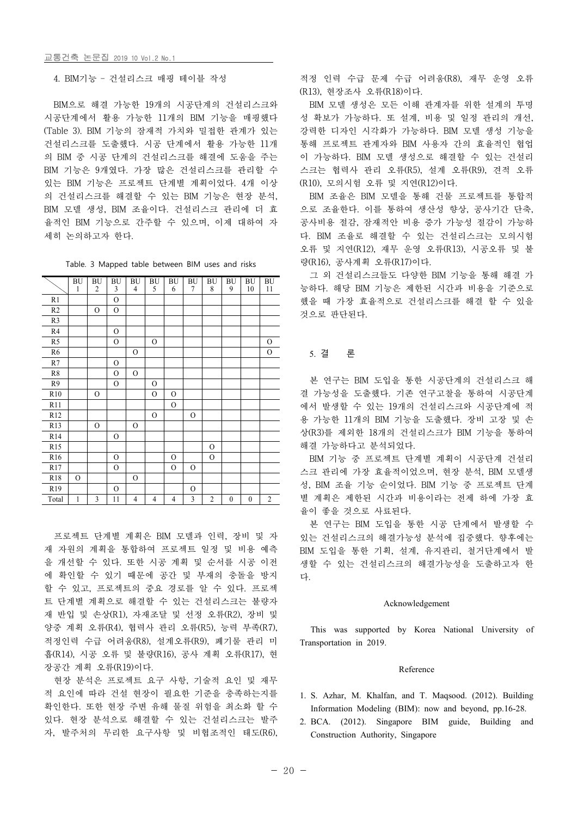4. BIM기능 – 건설리스크 매핑 테이블 작성

BIM으로 해결 가능한 19개의 시공단계의 건설리스크와 시공단계에서 활용 가능한 11개의 BIM 기능을 매핑했다 (Table 3). BIM 기능의 잠재적 가치와 밀접한 관계가 있는 건설리스크를 도출했다. 시공 단계에서 활용 가능한 11개 의 BIM 중 시공 단계의 건설리스크를 해결에 도움을 주는 BIM 기능은 9개였다. 가장 많은 건설리스크를 관리할 수 있는 BIM 기능은 프로젝트 단계별 계획이었다. 4개 이상 의 건설리스크를 해결할 수 있는 BIM 기능은 현장 분석, BIM 조율은 BIM 모델을 통해 건물 프로젝트를 통합적<br>BIM 모델 생성, BIM 조율이다. 건설리스크 관리에 더 효 으로 조율한다. 이를 통하여 생산성 향상, 공사기간 단축, 율적인 BIM 기능으로 간주할 수 있으며, 이제 대하여 자 세히 논의하고자 한다.

Table. 3 Mapped table between BIM uses and risks

|                | ${\rm BU}$<br>1 | BU<br>$\overline{2}$ | BU<br>3       | BU<br>$\overline{4}$ | BU<br>5        | BU<br>6        | BU<br>7        | BU<br>8        | BU<br>9          | <b>BU</b><br>10  | <b>BU</b><br>11 | 능ㅎ          |
|----------------|-----------------|----------------------|---------------|----------------------|----------------|----------------|----------------|----------------|------------------|------------------|-----------------|-------------|
| R1             |                 |                      | $\mathcal{O}$ |                      |                |                |                |                |                  |                  |                 | 했을          |
| R <sub>2</sub> |                 | $\mathcal{O}$        | $\mathcal{O}$ |                      |                |                |                |                |                  |                  |                 | 것으          |
| R <sub>3</sub> |                 |                      |               |                      |                |                |                |                |                  |                  |                 |             |
| R <sub>4</sub> |                 |                      | $\mathbf{O}$  |                      |                |                |                |                |                  |                  |                 |             |
| R5             |                 |                      | $\mathcal{O}$ |                      | $\mathcal{O}$  |                |                |                |                  |                  | $\mathbf{O}$    |             |
| R <sub>6</sub> |                 |                      |               | $\mathcal{O}$        |                |                |                |                |                  |                  | $\mathcal{O}$   | 5           |
| R7             |                 |                      | $\mathcal{O}$ |                      |                |                |                |                |                  |                  |                 |             |
| R8             |                 |                      | $\mathcal{O}$ | $\mathbf{O}$         |                |                |                |                |                  |                  |                 |             |
| R <sub>9</sub> |                 |                      | $\mathcal{O}$ |                      | $\mathcal{O}$  |                |                |                |                  |                  |                 | 븐           |
| R10            |                 | $\mathbf{O}$         |               |                      | $\mathbf{O}$   | $\mathcal{O}$  |                |                |                  |                  |                 | 결           |
| R11            |                 |                      |               |                      |                | $\mathcal{O}$  |                |                |                  |                  |                 | 에서          |
| R12            |                 |                      |               |                      | $\mathbf{O}$   |                | $\mathcal{O}$  |                |                  |                  |                 | 용           |
| R13            |                 | $\mathcal{O}$        |               | $\mathcal{O}$        |                |                |                |                |                  |                  |                 |             |
| R14            |                 |                      | $\mathcal{O}$ |                      |                |                |                |                |                  |                  |                 | 상(          |
| R15            |                 |                      |               |                      |                |                |                | $\mathcal{O}$  |                  |                  |                 | 해결          |
| R16            |                 |                      | $\mathcal{O}$ |                      |                | $\mathcal{O}$  |                | $\mathcal{O}$  |                  |                  |                 | $\mathbf B$ |
| R17            |                 |                      | $\mathbf{O}$  |                      |                | $\mathcal{O}$  | $\mathcal{O}$  |                |                  |                  |                 | 스트          |
| R18            | $\mathbf{O}$    |                      |               | $\mathbf{O}$         |                |                |                |                |                  |                  |                 |             |
| R19            |                 |                      | $\mathcal{O}$ |                      |                |                | $\mathcal{O}$  |                |                  |                  |                 | 성,          |
| Total          | 1               | 3                    | 11            | $\overline{4}$       | $\overline{4}$ | $\overline{4}$ | $\overline{3}$ | $\overline{2}$ | $\boldsymbol{0}$ | $\boldsymbol{0}$ | $\overline{2}$  | 별           |

프로젝트 단계별 계획은 BIM 모델과 인력, 장비 및 자 재 자원의 계획을 통합하여 프로젝트 일정 및 비용 예측 을 개선할 수 있다. 또한 시공 계획 및 순서를 시공 이전 에 확인할 수 있기 때문에 공간 및 부재의 충돌을 방지 할 수 있고, 프로젝트의 중요 경로를 알 수 있다. 프로젝 트 단계별 계획으로 해결할 수 있는 건설리스크는 불량자 재 반입 및 손상(R1), 자재조달 및 선정 오류(R2), 장비 및 양중 계획 오류(R4), 협력사 관리 오류(R5), 능력 부족(R7), 적정인력 수급 어려움(R8), 설계오류(R9), 폐기물 관리 미 흡(R14), 시공 오류 및 불량(R16), 공사 계획 오류(R17), 현 장공간 계획 오류(R19)이다.

현장 분석은 프로젝트 요구 사항, 기술적 요인 및 재무 적 요인에 따라 건설 현장이 필요한 기준을 충족하는지를 확인한다. 또한 현장 주변 유해 물질 위험을 최소화 할 수 있다. 현장 분석으로 해결할 수 있는 건설리스크는 발주 자, 발주처의 무리한 요구사항 및 비협조적인 태도(R6), 적정 인력 수급 문제 수급 어려움(R8), 재무 운영 오류 (R13), 현장조사 오류(R18)이다.

BIM 모델 생성은 모든 이해 관계자를 위한 설계의 투명 강력한 디자인 시각화가 가능하다. BIM 모델 생성 기능을 통해 프로젝트 관계자와 BIM 사용자 간의 효율적인 협업 이 가능하다. BIM 모델 생성으로 해결할 수 있는 건설리 스크는 협력사 관리 오류(R5), 설계 오류(R9), 견적 오류 (R10), 모의시험 오류 및 지연(R12)이다.

BIM 조율은 BIM 모델을 통해 건물 프로젝트를 통합적 공사비용 절감, 잠재적안 비용 증가 가능성 절감이 가능하 다. BIM 조율로 해결할 수 있는 건설리스크는 모의시험 오류 및 지연(R12), 재무 운영 오류(R13), 시공오류 및 불 량(R16), 공사계획 오류(R17)이다.

그 외 건설리스크들도 다양한 BIM 기능을 통해 해결 가 BU<br>11 능하다. 해당 BIM 기능은 제한된 시간과 비용을 기준으로 했을 때 가장 효율적으로 건설리스크를 해결 할 수 있을 것으로 판단된다.

## 5. 결 론

본 연구는 BIM 도입을 통한 시공단계의 건설리스크 해 결 가능성을 도출했다. 기존 연구고찰을 통하여 시공단계 에서 발생할 수 있는 19개의 건설리스크와 시공단계에 적 용 가능한 11개의 BIM 기능을 도출했다. 장비 고장 및 손 상(R3)를 제외한 18개의 건설리스크가 BIM 기능을 통하여 해결 가능하다고 분석되었다.<br>- BIM 기능 중 프로젝트 단계별 계획이 시공단계 건설리

스크 관리에 가장 효율적이었으며, 현장 분석, BIM 모델생 성, BIM 조율 기능 순이었다. BIM 기능 중 프로젝트 단계 별 계획은 제한된 시간과 비용이라는 전제 하에 가장 효 율이 좋을 것으로 사료된다.

본 연구는 BIM 도입을 통한 시공 단계에서 발생할 수 있는 건설리스크의 해결가능성 분석에 집중했다. 향후에는 BIM 도입을 통한 기획, 설계, 유지관리, 철거단계에서 발 생할 수 있는 건설리스크의 해결가능성을 도출하고자 한 다.

#### Acknowledgement

This was supported by Korea National University of Transportation in 2019.

#### Reference

- 1. S. Azhar, M. Khalfan, and T. Maqsood. (2012). Building Information Modeling (BIM): now and beyond, pp.16-28.
- 2. BCA. (2012). Singapore BIM guide, Building and Construction Authority, Singapore